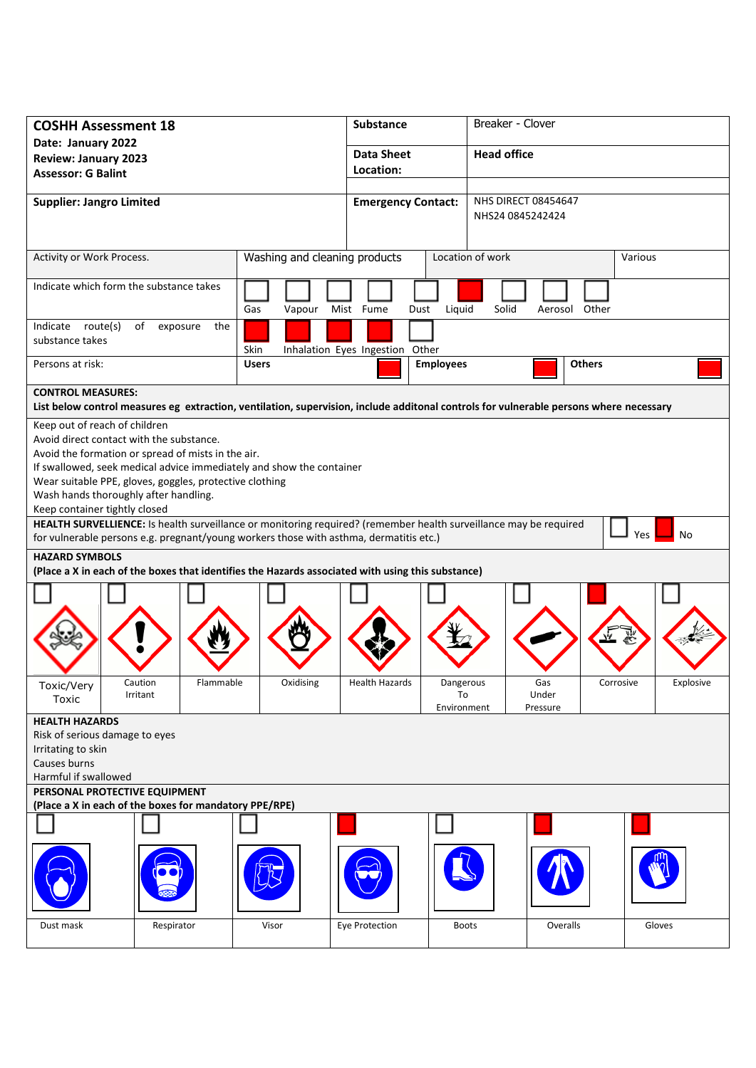| <b>COSHH Assessment 18</b>                                                                                        |                     |                                                                                                                                        | Substance                       |                    | Breaker - Clover |               |           |
|-------------------------------------------------------------------------------------------------------------------|---------------------|----------------------------------------------------------------------------------------------------------------------------------------|---------------------------------|--------------------|------------------|---------------|-----------|
| Date: January 2022<br><b>Review: January 2023</b>                                                                 |                     |                                                                                                                                        | <b>Data Sheet</b>               | <b>Head office</b> |                  |               |           |
| <b>Assessor: G Balint</b>                                                                                         |                     |                                                                                                                                        | Location:                       |                    |                  |               |           |
| <b>Supplier: Jangro Limited</b>                                                                                   |                     | <b>NHS DIRECT 08454647</b><br><b>Emergency Contact:</b>                                                                                |                                 |                    |                  |               |           |
|                                                                                                                   |                     |                                                                                                                                        |                                 | NHS24 0845242424   |                  |               |           |
|                                                                                                                   |                     |                                                                                                                                        |                                 |                    |                  |               |           |
| Activity or Work Process.                                                                                         |                     | Washing and cleaning products                                                                                                          |                                 | Location of work   |                  | Various       |           |
| Indicate which form the substance takes                                                                           |                     | Gas<br>Vapour                                                                                                                          | Mist Fume<br>Dust               | Liquid<br>Solid    | Aerosol          | Other         |           |
| Indicate route(s)<br>substance takes                                                                              | of exposure         | the<br>Skin                                                                                                                            | Inhalation Eyes Ingestion Other |                    |                  |               |           |
| Persons at risk:                                                                                                  |                     | <b>Users</b>                                                                                                                           |                                 | <b>Employees</b>   |                  | <b>Others</b> |           |
| <b>CONTROL MEASURES:</b>                                                                                          |                     |                                                                                                                                        |                                 |                    |                  |               |           |
| Keep out of reach of children                                                                                     |                     | List below control measures eg extraction, ventilation, supervision, include additonal controls for vulnerable persons where necessary |                                 |                    |                  |               |           |
| Avoid direct contact with the substance.                                                                          |                     |                                                                                                                                        |                                 |                    |                  |               |           |
| Avoid the formation or spread of mists in the air.                                                                |                     |                                                                                                                                        |                                 |                    |                  |               |           |
|                                                                                                                   |                     | If swallowed, seek medical advice immediately and show the container                                                                   |                                 |                    |                  |               |           |
| Wear suitable PPE, gloves, goggles, protective clothing<br>Wash hands thoroughly after handling.                  |                     |                                                                                                                                        |                                 |                    |                  |               |           |
| Keep container tightly closed                                                                                     |                     |                                                                                                                                        |                                 |                    |                  |               |           |
| HEALTH SURVELLIENCE: Is health surveillance or monitoring required? (remember health surveillance may be required |                     |                                                                                                                                        |                                 |                    |                  |               |           |
| Yes<br>No<br>for vulnerable persons e.g. pregnant/young workers those with asthma, dermatitis etc.)               |                     |                                                                                                                                        |                                 |                    |                  |               |           |
| <b>HAZARD SYMBOLS</b>                                                                                             |                     |                                                                                                                                        |                                 |                    |                  |               |           |
|                                                                                                                   |                     | (Place a X in each of the boxes that identifies the Hazards associated with using this substance)                                      |                                 |                    |                  |               |           |
|                                                                                                                   |                     |                                                                                                                                        |                                 |                    |                  |               |           |
|                                                                                                                   |                     |                                                                                                                                        |                                 |                    |                  |               |           |
|                                                                                                                   |                     |                                                                                                                                        |                                 |                    |                  |               |           |
|                                                                                                                   |                     |                                                                                                                                        |                                 |                    |                  |               |           |
| Toxic/Very                                                                                                        | Caution<br>Irritant | Flammable<br>Oxidising                                                                                                                 | <b>Health Hazards</b>           | Dangerous<br>To    | Gas<br>Under     | Corrosive     | Explosive |
| Toxic                                                                                                             |                     |                                                                                                                                        |                                 | Environment        | Pressure         |               |           |
| <b>HEALTH HAZARDS</b>                                                                                             |                     |                                                                                                                                        |                                 |                    |                  |               |           |
| Risk of serious damage to eyes<br>Irritating to skin                                                              |                     |                                                                                                                                        |                                 |                    |                  |               |           |
| Causes burns                                                                                                      |                     |                                                                                                                                        |                                 |                    |                  |               |           |
| Harmful if swallowed                                                                                              |                     |                                                                                                                                        |                                 |                    |                  |               |           |
| PERSONAL PROTECTIVE EQUIPMENT                                                                                     |                     |                                                                                                                                        |                                 |                    |                  |               |           |
| (Place a X in each of the boxes for mandatory PPE/RPE)                                                            |                     |                                                                                                                                        |                                 |                    |                  |               |           |
|                                                                                                                   |                     |                                                                                                                                        |                                 |                    |                  |               |           |
|                                                                                                                   |                     |                                                                                                                                        |                                 |                    |                  |               |           |
|                                                                                                                   |                     |                                                                                                                                        |                                 |                    |                  |               |           |
| Dust mask                                                                                                         | Respirator          | Visor                                                                                                                                  | <b>Eye Protection</b>           | <b>Boots</b>       | Overalls         |               | Gloves    |